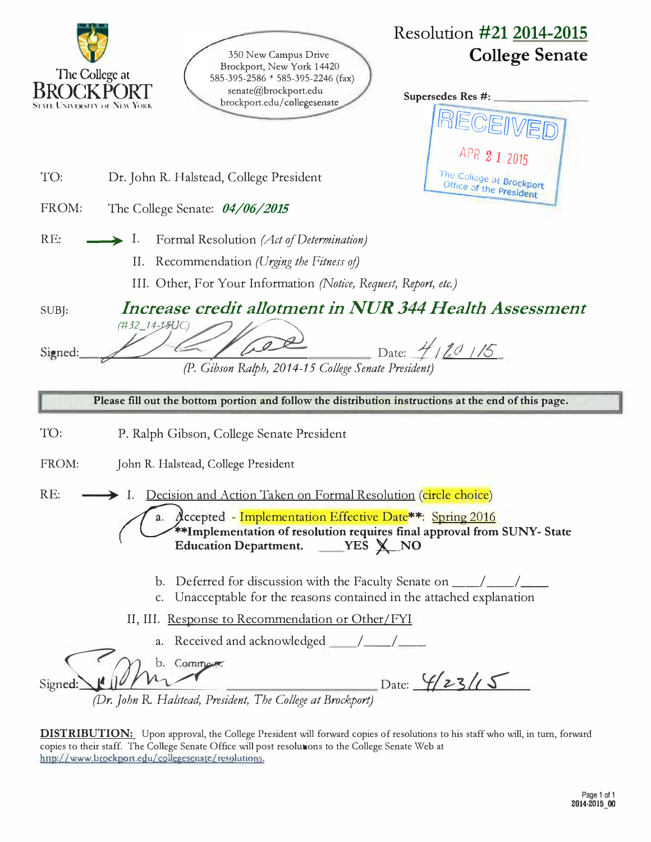|         | Resolution #21 2014-2015<br>350 New Campus Drive<br>Brockport, New York 14420<br>The College at<br>585-395-2586 * 585-395-2246 (fax)<br>senate@brockport.edu<br>Supersedes Res #:<br>brockport.edu/collegesenate<br>STALL UNIVERSITY OF NEW YORK<br>APR 2 1 2015 | <b>College Senate</b> |
|---------|------------------------------------------------------------------------------------------------------------------------------------------------------------------------------------------------------------------------------------------------------------------|-----------------------|
| TO:     | The College at Brockport<br>Dr. John R. Halstead, College President<br>Office of the President                                                                                                                                                                   |                       |
| FROM:   | The College Senate: 04/06/2015                                                                                                                                                                                                                                   |                       |
| RE:     | Ι.<br>Formal Resolution (Act of Determination)<br>II.<br>Recommendation (Urging the Fitness of)<br>III. Other, For Your Information (Notice, Request, Report, etc.)                                                                                              |                       |
| SUBJ:   | Increase credit allotment in NUR 344 Health Assessment                                                                                                                                                                                                           |                       |
| Signed: | (#32_14-15UC)<br>Date: 4/20/15<br>(P. Gibson Ralph, 2014-15 College Senate President)                                                                                                                                                                            |                       |
|         |                                                                                                                                                                                                                                                                  |                       |
|         | Please fill out the bottom portion and follow the distribution instructions at the end of this page.                                                                                                                                                             |                       |
| TO:     | P. Ralph Gibson, College Senate President                                                                                                                                                                                                                        |                       |
| FROM:   | John R. Halstead, College President                                                                                                                                                                                                                              |                       |
| RE:     | Decision and Action Taken on Formal Resolution (circle choice)<br>a. Accepted - Implementation Effective Date**: Spring 2016<br>**Implementation of resolution requires final approval from SUNY- State<br>Education Department. ____ YES X_NO                   |                       |
|         | b.<br>c. Unacceptable for the reasons contained in the attached explanation                                                                                                                                                                                      |                       |
|         | II, III. Response to Recommendation or Other/FYI                                                                                                                                                                                                                 |                       |

**DISTRIBUTION:** Upon approval, the College President will forward copies of resolutions to his staff who will, in turn, forward copies to their staff The College Senate Office will post resolutions to the College Senate Web at http://www.brockport.edu/collegesenatc/resolutions.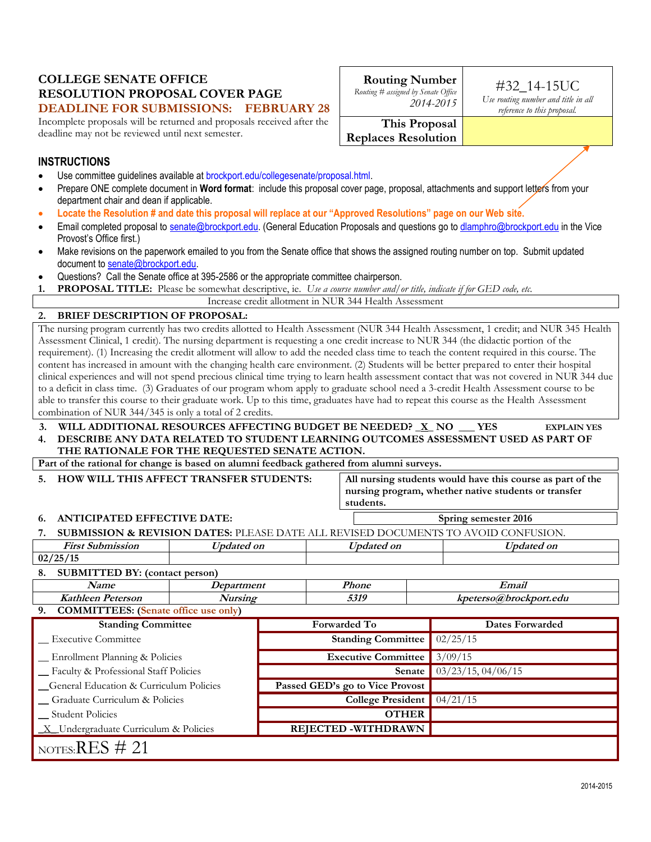#### **COLLEGE SENATE OFFICE RESOLUTION PROPOSAL COVER PAGE DEADLINE FOR SUBMISSIONS: FEBRUARY 28**

Incomplete proposals will be returned and proposals received after the deadline may not be reviewed until next semester.

| <b>Routing Number</b><br>Routing # assigned by Senate Office<br>2014-2015 |
|---------------------------------------------------------------------------|

## #32\_14-15UC

*Use routing number and title in all reference to this proposal.*

**This Proposal Replaces Resolution**

### **INSTRUCTIONS**

- Use committee guidelines available at brockport.edu/collegesenate/proposal.html.
- Prepare ONE complete document in Word format: include this proposal cover page, proposal, attachments and support letters from your department chair and dean if applicable.
- **Locate the Resolution # and date this proposal will replace at our "Approved Resolutions" page on our Web site.**
- Email completed proposal to [senate@brockport.edu.](mailto:senate@brockport.edu) (General Education Proposals and questions go to [dlamphro@brockport.edu](mailto:dlamphron@brockport.edu) in the Vice Provost's Office first.)
- Make revisions on the paperwork emailed to you from the Senate office that shows the assigned routing number on top. Submit updated document t[o senate@brockport.edu.](mailto:senate@brockport.edu)
- Questions? Call the Senate office at 395-2586 or the appropriate committee chairperson.
- **1. PROPOSAL TITLE:** Please be somewhat descriptive, ie. *Use a course number and/or title, indicate if for GED code, etc.*

| Increase credit allotment in NUR 344 Health Assessment |  |
|--------------------------------------------------------|--|
|--------------------------------------------------------|--|

#### **2. BRIEF DESCRIPTION OF PROPOSAL:**

The nursing program currently has two credits allotted to Health Assessment (NUR 344 Health Assessment, 1 credit; and NUR 345 Health Assessment Clinical, 1 credit). The nursing department is requesting a one credit increase to NUR 344 (the didactic portion of the requirement). (1) Increasing the credit allotment will allow to add the needed class time to teach the content required in this course. The content has increased in amount with the changing health care environment. (2) Students will be better prepared to enter their hospital clinical experiences and will not spend precious clinical time trying to learn health assessment contact that was not covered in NUR 344 due to a deficit in class time. (3) Graduates of our program whom apply to graduate school need a 3-credit Health Assessment course to be able to transfer this course to their graduate work. Up to this time, graduates have had to repeat this course as the Health Assessment combination of NUR 344/345 is only a total of 2 credits.

#### **3. WILL ADDITIONAL RESOURCES AFFECTING BUDGET BE NEEDED? \_X\_ NO \_\_\_ YES EXPLAIN YES 4. DESCRIBE ANY DATA RELATED TO STUDENT LEARNING OUTCOMES ASSESSMENT USED AS PART OF THE RATIONALE FOR THE REQUESTED SENATE ACTION.**

**Part of the rational for change is based on alumni feedback gathered from alumni surveys.**

| 5. HOW WILL THIS AFFECT TRANSFER STUDENTS: |  |
|--------------------------------------------|--|

All nursing students would have this course as part of the **nursing program, whether native students or transfer students.** 

#### **6. ANTICIPATED EFFECTIVE DATE: Spring semester 2016**

|                         |            | <b>SUBMISSION &amp; REVISION DATES:</b> PLEASE DATE ALL REVISED DOCUMENTS TO AVOID CONFUSION. |            |
|-------------------------|------------|-----------------------------------------------------------------------------------------------|------------|
| <b>First Submission</b> | Updated on | Updated on                                                                                    | Updated on |

| 1 изг зигливэлти                                   | <i>Updatu vii</i>               |                                       | <i>Updatu vii</i>          |  | $U$ <i>pualcu vil</i>  |
|----------------------------------------------------|---------------------------------|---------------------------------------|----------------------------|--|------------------------|
| 02/25/15                                           |                                 |                                       |                            |  |                        |
| <b>SUBMITTED BY: (contact person)</b><br>8.        |                                 |                                       |                            |  |                        |
| Name                                               | <i>Department</i>               |                                       | <b>Phone</b>               |  | Email                  |
| <b>Kathleen Peterson</b>                           | <b>Nursing</b>                  |                                       | 5319                       |  | kpeterso@brockport.edu |
| <b>COMMITTEES:</b> (Senate office use only)<br>9.  |                                 |                                       |                            |  |                        |
| <b>Standing Committee</b>                          |                                 |                                       | <b>Forwarded To</b>        |  | Dates Forwarded        |
| _ Executive Committee                              |                                 | <b>Standing Committee</b>             |                            |  | 02/25/15               |
| _ Enrollment Planning & Policies                   |                                 | 3/09/15<br><b>Executive Committee</b> |                            |  |                        |
| Faculty & Professional Staff Policies              |                                 | $03/23/15$ , 04/06/15<br>Senate       |                            |  |                        |
| <b>General Education &amp; Curriculum Policies</b> | Passed GED's go to Vice Provost |                                       |                            |  |                        |
| _ Graduate Curriculum & Policies                   |                                 | College President $04/21/15$          |                            |  |                        |
| <b>Student Policies</b>                            |                                 |                                       | <b>OTHER</b>               |  |                        |
| $X$ Undergraduate Curriculum & Policies            |                                 |                                       | <b>REJECTED -WITHDRAWN</b> |  |                        |
| $P(T)$ $\sim$ $\sim$ $\sim$ $\sim$                 |                                 |                                       |                            |  |                        |

 $_{\rm{NOTES}:}$ RES # 21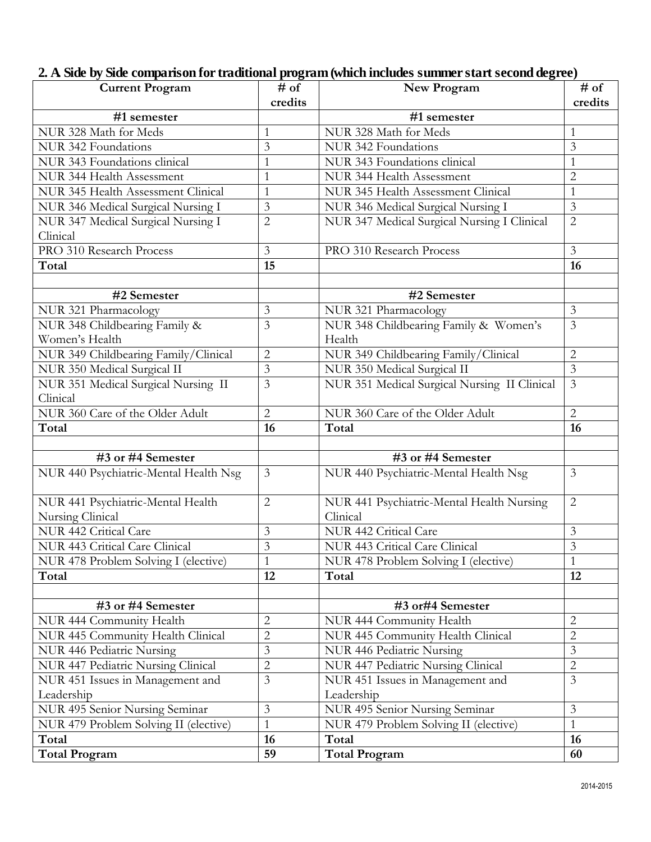# **2. A. Side by Side comparison for traditional program (which includes summer start second degree)**

| <b>Current Program</b>                | # of                    | New Program                                  | # of           |
|---------------------------------------|-------------------------|----------------------------------------------|----------------|
|                                       | credits                 |                                              | credits        |
| #1 semester                           |                         | #1 semester                                  |                |
| NUR 328 Math for Meds                 | 1                       | NUR 328 Math for Meds                        | 1              |
| NUR 342 Foundations                   | $\overline{3}$          | NUR 342 Foundations                          | 3              |
| NUR 343 Foundations clinical          | $\mathbf{1}$            | NUR 343 Foundations clinical                 |                |
| NUR 344 Health Assessment             | $\mathbf{1}$            | NUR 344 Health Assessment                    | $\overline{2}$ |
| NUR 345 Health Assessment Clinical    | $\mathbf{1}$            | NUR 345 Health Assessment Clinical           | $\mathbf{1}$   |
| NUR 346 Medical Surgical Nursing I    | $\overline{3}$          | NUR 346 Medical Surgical Nursing I           | 3              |
| NUR 347 Medical Surgical Nursing I    | $\overline{2}$          | NUR 347 Medical Surgical Nursing I Clinical  | $\overline{2}$ |
| Clinical                              |                         |                                              |                |
| PRO 310 Research Process              | 3                       | PRO 310 Research Process                     | $\overline{3}$ |
| Total                                 | 15                      |                                              | 16             |
|                                       |                         |                                              |                |
| #2 Semester                           |                         | #2 Semester                                  |                |
| NUR 321 Pharmacology                  | 3                       | NUR 321 Pharmacology                         | $\mathfrak{Z}$ |
| NUR 348 Childbearing Family &         | $\overline{3}$          | NUR 348 Childbearing Family & Women's        | 3              |
| Women's Health                        |                         | Health                                       |                |
| NUR 349 Childbearing Family/Clinical  | $\overline{c}$          | NUR 349 Childbearing Family/Clinical         | $\overline{2}$ |
| NUR 350 Medical Surgical II           | 3                       | NUR 350 Medical Surgical II                  | $\mathfrak{Z}$ |
| NUR 351 Medical Surgical Nursing II   | $\overline{3}$          | NUR 351 Medical Surgical Nursing II Clinical | $\overline{3}$ |
| Clinical                              |                         |                                              |                |
| NUR 360 Care of the Older Adult       | $\overline{2}$          | NUR 360 Care of the Older Adult              | $\overline{2}$ |
| Total                                 | 16                      | Total                                        | 16             |
|                                       |                         |                                              |                |
| #3 or #4 Semester                     |                         | #3 or #4 Semester                            |                |
| NUR 440 Psychiatric-Mental Health Nsg | $\mathfrak{Z}$          | NUR 440 Psychiatric-Mental Health Nsg        | $\overline{3}$ |
| NUR 441 Psychiatric-Mental Health     | $\overline{2}$          | NUR 441 Psychiatric-Mental Health Nursing    | $\overline{2}$ |
| Nursing Clinical                      |                         | Clinical                                     |                |
| NUR 442 Critical Care                 | 3                       | NUR 442 Critical Care                        | 3              |
| NUR 443 Critical Care Clinical        | $\overline{3}$          | NUR 443 Critical Care Clinical               | $\overline{3}$ |
| NUR 478 Problem Solving I (elective)  |                         | NUR 478 Problem Solving I (elective)         |                |
| Total                                 | 12                      | Total                                        | 12             |
|                                       |                         |                                              |                |
| #3 or #4 Semester                     |                         | #3 or#4 Semester                             |                |
| NUR 444 Community Health              | $\overline{2}$          | NUR 444 Community Health                     | $\overline{2}$ |
| NUR 445 Community Health Clinical     | $\overline{2}$          | NUR 445 Community Health Clinical            | $\overline{2}$ |
| NUR 446 Pediatric Nursing             | $\mathfrak{Z}$          | NUR 446 Pediatric Nursing                    | $\mathfrak{Z}$ |
| NUR 447 Pediatric Nursing Clinical    | $\overline{2}$          | NUR 447 Pediatric Nursing Clinical           | $\overline{2}$ |
| NUR 451 Issues in Management and      | $\overline{\mathbf{3}}$ | NUR 451 Issues in Management and             | $\overline{3}$ |
| Leadership                            |                         | Leadership                                   |                |
| NUR 495 Senior Nursing Seminar        | $\overline{3}$          | NUR 495 Senior Nursing Seminar               | $\overline{3}$ |
| NUR 479 Problem Solving II (elective) | $\mathbf{1}$            | NUR 479 Problem Solving II (elective)        | $\mathbf{1}$   |
| Total                                 | 16                      | Total                                        | 16             |
| <b>Total Program</b>                  | 59                      | <b>Total Program</b>                         | 60             |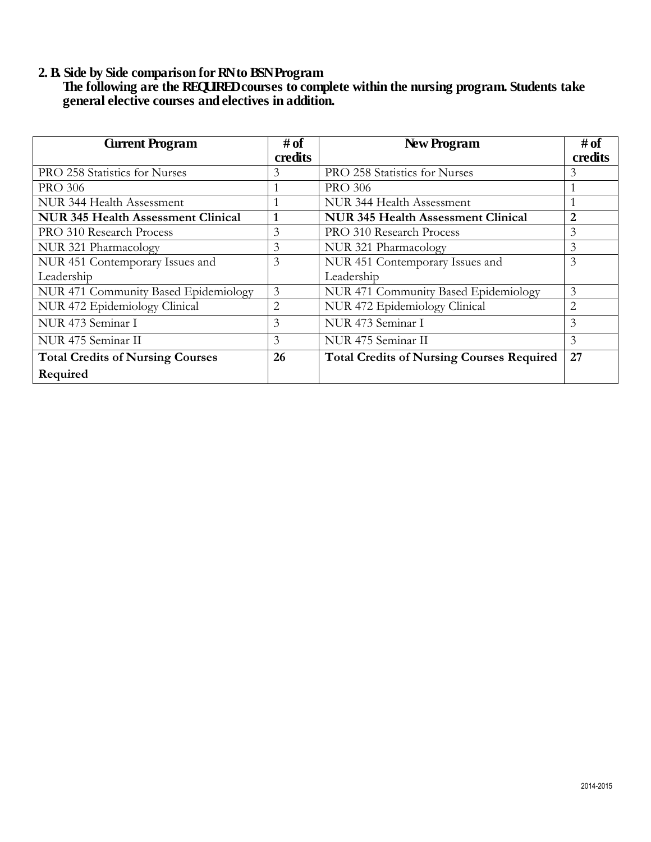### **2. B. Side by Side comparison for RN to BSN Program**

 **The following are the REQUIRED courses to complete within the nursing program. Students take general elective courses and electives in addition.**

| <b>Gurrent Program</b>                    | # of    | New Program                                      | # of          |
|-------------------------------------------|---------|--------------------------------------------------|---------------|
|                                           | credits |                                                  | credits       |
| PRO 258 Statistics for Nurses             | 3       | PRO 258 Statistics for Nurses                    | 3             |
| <b>PRO 306</b>                            |         | <b>PRO 306</b>                                   |               |
| NUR 344 Health Assessment                 |         | NUR 344 Health Assessment                        |               |
| <b>NUR 345 Health Assessment Clinical</b> |         | <b>NUR 345 Health Assessment Clinical</b>        | $\mathcal{D}$ |
| PRO 310 Research Process                  | 3       | PRO 310 Research Process                         | 3             |
| NUR 321 Pharmacology                      | 3       | NUR 321 Pharmacology                             | 3             |
| NUR 451 Contemporary Issues and           | 3       | NUR 451 Contemporary Issues and                  | 3             |
| Leadership                                |         | Leadership                                       |               |
| NUR 471 Community Based Epidemiology      | 3       | NUR 471 Community Based Epidemiology             | 3             |
| NUR 472 Epidemiology Clinical             | 2       | NUR 472 Epidemiology Clinical                    | 2             |
| NUR 473 Seminar I                         | 3       | NUR 473 Seminar I                                | 3             |
| NUR 475 Seminar II                        | 3       | NUR 475 Seminar II                               | 3             |
| <b>Total Credits of Nursing Courses</b>   | 26      | <b>Total Credits of Nursing Courses Required</b> | 27            |
| Required                                  |         |                                                  |               |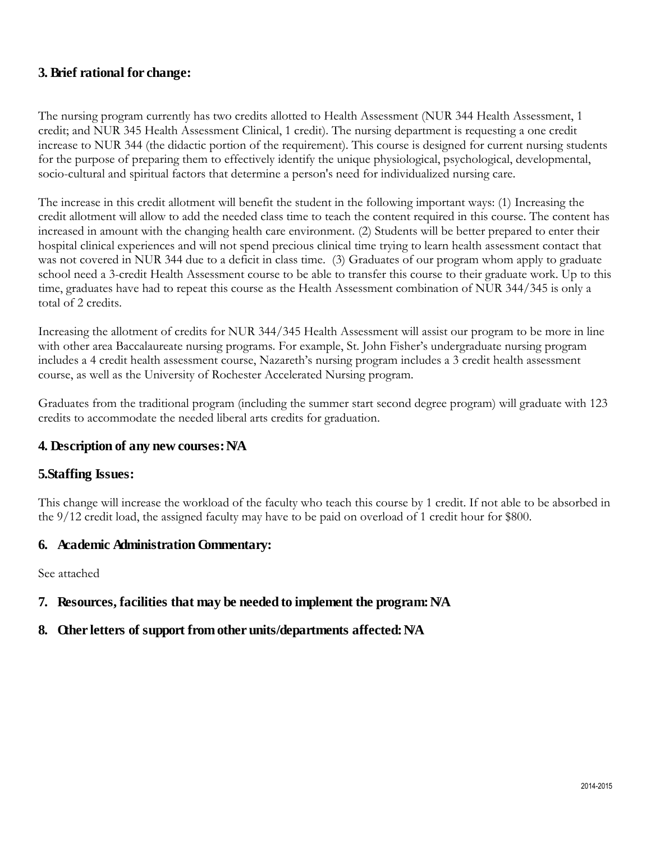## **3. Brief rational for change:**

The nursing program currently has two credits allotted to Health Assessment (NUR 344 Health Assessment, 1 credit; and NUR 345 Health Assessment Clinical, 1 credit). The nursing department is requesting a one credit increase to NUR 344 (the didactic portion of the requirement). This course is designed for current nursing students for the purpose of preparing them to effectively identify the unique physiological, psychological, developmental, socio-cultural and spiritual factors that determine a person's need for individualized nursing care.

The increase in this credit allotment will benefit the student in the following important ways: (1) Increasing the credit allotment will allow to add the needed class time to teach the content required in this course. The content has increased in amount with the changing health care environment. (2) Students will be better prepared to enter their hospital clinical experiences and will not spend precious clinical time trying to learn health assessment contact that was not covered in NUR 344 due to a deficit in class time. (3) Graduates of our program whom apply to graduate school need a 3-credit Health Assessment course to be able to transfer this course to their graduate work. Up to this time, graduates have had to repeat this course as the Health Assessment combination of NUR 344/345 is only a total of 2 credits.

Increasing the allotment of credits for NUR 344/345 Health Assessment will assist our program to be more in line with other area Baccalaureate nursing programs. For example, St. John Fisher's undergraduate nursing program includes a 4 credit health assessment course, Nazareth's nursing program includes a 3 credit health assessment course, as well as the University of Rochester Accelerated Nursing program.

Graduates from the traditional program (including the summer start second degree program) will graduate with 123 credits to accommodate the needed liberal arts credits for graduation.

## **4. Description of any new courses: N/A**

### **5.Staffing Issues:**

This change will increase the workload of the faculty who teach this course by 1 credit. If not able to be absorbed in the 9/12 credit load, the assigned faculty may have to be paid on overload of 1 credit hour for \$800.

### **6. Academic Administration Commentary:**

See attached

## **7. Resources, facilities that may be needed to implement the program: N/A**

### **8. Other letters of support from other units/departments affected: N/A**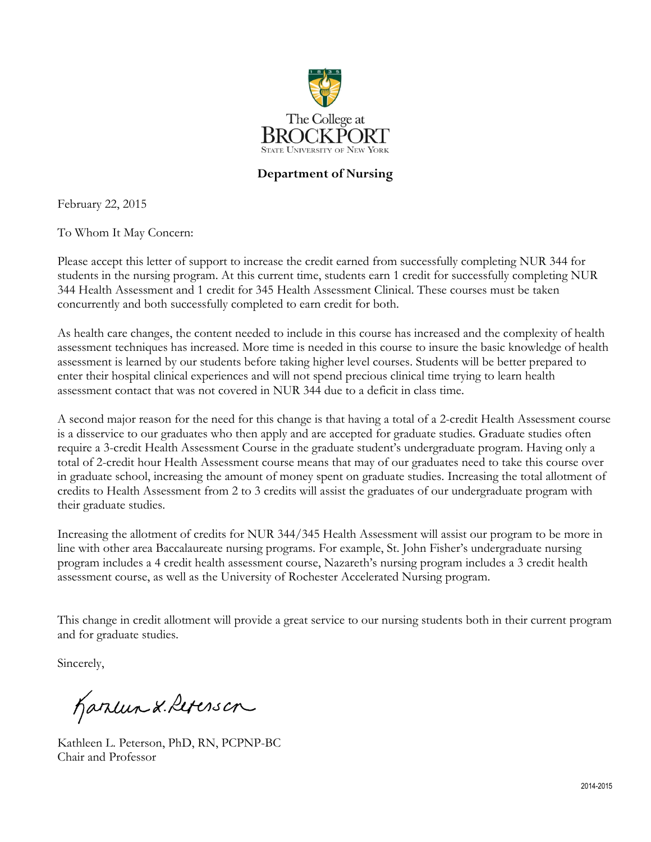

## **Department of Nursing**

February 22, 2015

To Whom It May Concern:

Please accept this letter of support to increase the credit earned from successfully completing NUR 344 for students in the nursing program. At this current time, students earn 1 credit for successfully completing NUR 344 Health Assessment and 1 credit for 345 Health Assessment Clinical. These courses must be taken concurrently and both successfully completed to earn credit for both.

As health care changes, the content needed to include in this course has increased and the complexity of health assessment techniques has increased. More time is needed in this course to insure the basic knowledge of health assessment is learned by our students before taking higher level courses. Students will be better prepared to enter their hospital clinical experiences and will not spend precious clinical time trying to learn health assessment contact that was not covered in NUR 344 due to a deficit in class time.

A second major reason for the need for this change is that having a total of a 2-credit Health Assessment course is a disservice to our graduates who then apply and are accepted for graduate studies. Graduate studies often require a 3-credit Health Assessment Course in the graduate student's undergraduate program. Having only a total of 2-credit hour Health Assessment course means that may of our graduates need to take this course over in graduate school, increasing the amount of money spent on graduate studies. Increasing the total allotment of credits to Health Assessment from 2 to 3 credits will assist the graduates of our undergraduate program with their graduate studies.

Increasing the allotment of credits for NUR 344/345 Health Assessment will assist our program to be more in line with other area Baccalaureate nursing programs. For example, St. John Fisher's undergraduate nursing program includes a 4 credit health assessment course, Nazareth's nursing program includes a 3 credit health assessment course, as well as the University of Rochester Accelerated Nursing program.

This change in credit allotment will provide a great service to our nursing students both in their current program and for graduate studies.

Sincerely,

Karlun & Referson

Kathleen L. Peterson, PhD, RN, PCPNP-BC Chair and Professor